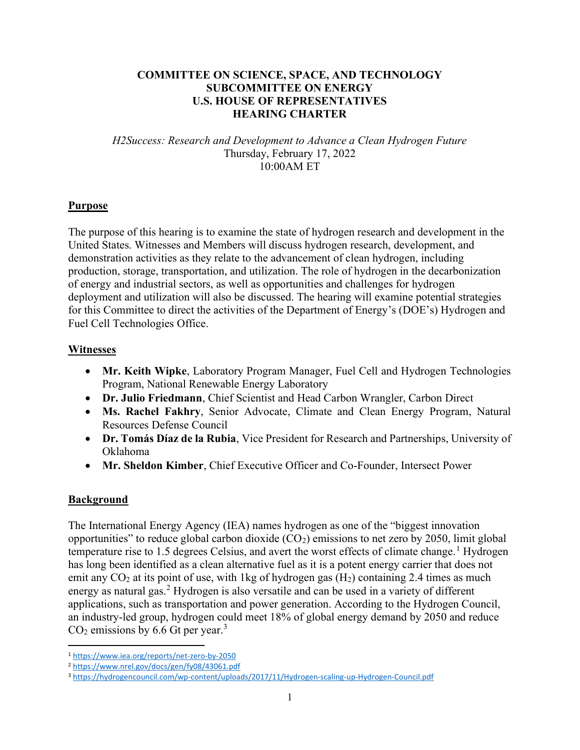## COMMITTEE ON SCIENCE, SPACE, AND TECHNOLOGY SUBCOMMITTEE ON ENERGY U.S. HOUSE OF REPRESENTATIVES HEARING CHARTER

H2Success: Research and Development to Advance a Clean Hydrogen Future Thursday, February 17, 2022 10:00AM ET

#### **Purpose**

The purpose of this hearing is to examine the state of hydrogen research and development in the United States. Witnesses and Members will discuss hydrogen research, development, and demonstration activities as they relate to the advancement of clean hydrogen, including production, storage, transportation, and utilization. The role of hydrogen in the decarbonization of energy and industrial sectors, as well as opportunities and challenges for hydrogen deployment and utilization will also be discussed. The hearing will examine potential strategies for this Committee to direct the activities of the Department of Energy's (DOE's) Hydrogen and Fuel Cell Technologies Office.

#### Witnesses

- Mr. Keith Wipke, Laboratory Program Manager, Fuel Cell and Hydrogen Technologies Program, National Renewable Energy Laboratory
- Dr. Julio Friedmann, Chief Scientist and Head Carbon Wrangler, Carbon Direct
- Ms. Rachel Fakhry, Senior Advocate, Climate and Clean Energy Program, Natural Resources Defense Council
- Dr. Tomás Díaz de la Rubia, Vice President for Research and Partnerships, University of Oklahoma
- Mr. Sheldon Kimber, Chief Executive Officer and Co-Founder, Intersect Power

## Background

The International Energy Agency (IEA) names hydrogen as one of the "biggest innovation opportunities" to reduce global carbon dioxide  $(CO_2)$  emissions to net zero by 2050, limit global temperature rise to 1.5 degrees Celsius, and avert the worst effects of climate change.<sup>1</sup> Hydrogen has long been identified as a clean alternative fuel as it is a potent energy carrier that does not emit any  $CO<sub>2</sub>$  at its point of use, with 1kg of hydrogen gas  $(H<sub>2</sub>)$  containing 2.4 times as much energy as natural gas.<sup>2</sup> Hydrogen is also versatile and can be used in a variety of different applications, such as transportation and power generation. According to the Hydrogen Council, an industry-led group, hydrogen could meet 18% of global energy demand by 2050 and reduce  $CO<sub>2</sub>$  emissions by 6.6 Gt per year.<sup>3</sup>

<sup>1</sup> https://www.iea.org/reports/net-zero-by-2050

<sup>2</sup> https://www.nrel.gov/docs/gen/fy08/43061.pdf

<sup>3</sup> https://hydrogencouncil.com/wp-content/uploads/2017/11/Hydrogen-scaling-up-Hydrogen-Council.pdf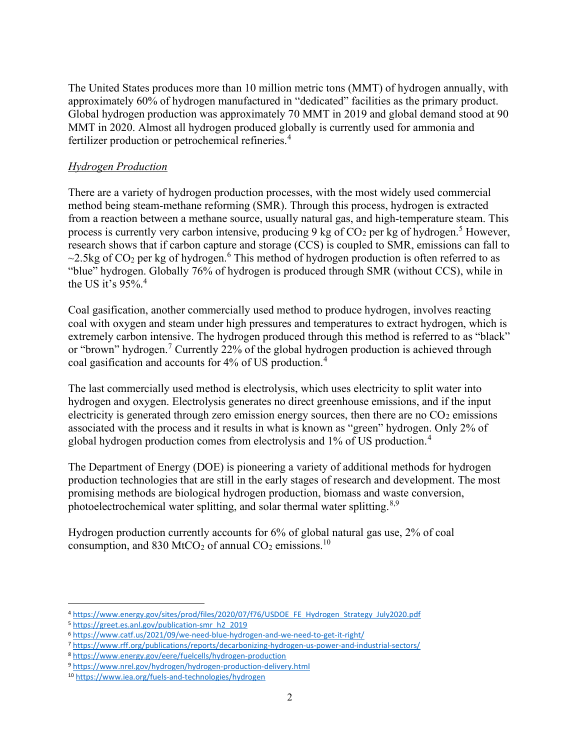The United States produces more than 10 million metric tons (MMT) of hydrogen annually, with approximately 60% of hydrogen manufactured in "dedicated" facilities as the primary product. Global hydrogen production was approximately 70 MMT in 2019 and global demand stood at 90 MMT in 2020. Almost all hydrogen produced globally is currently used for ammonia and fertilizer production or petrochemical refineries.<sup>4</sup>

#### Hydrogen Production

There are a variety of hydrogen production processes, with the most widely used commercial method being steam-methane reforming (SMR). Through this process, hydrogen is extracted from a reaction between a methane source, usually natural gas, and high-temperature steam. This process is currently very carbon intensive, producing 9 kg of  $CO<sub>2</sub>$  per kg of hydrogen.<sup>5</sup> However, research shows that if carbon capture and storage (CCS) is coupled to SMR, emissions can fall to  $\sim$ 2.5kg of CO<sub>2</sub> per kg of hydrogen.<sup>6</sup> This method of hydrogen production is often referred to as "blue" hydrogen. Globally 76% of hydrogen is produced through SMR (without CCS), while in the US it's  $95\%$ .<sup>4</sup>

Coal gasification, another commercially used method to produce hydrogen, involves reacting coal with oxygen and steam under high pressures and temperatures to extract hydrogen, which is extremely carbon intensive. The hydrogen produced through this method is referred to as "black" or "brown" hydrogen.<sup>7</sup> Currently 22% of the global hydrogen production is achieved through coal gasification and accounts for 4% of US production.<sup>4</sup>

The last commercially used method is electrolysis, which uses electricity to split water into hydrogen and oxygen. Electrolysis generates no direct greenhouse emissions, and if the input electricity is generated through zero emission energy sources, then there are no  $CO<sub>2</sub>$  emissions associated with the process and it results in what is known as "green" hydrogen. Only 2% of global hydrogen production comes from electrolysis and 1% of US production.<sup>4</sup>

The Department of Energy (DOE) is pioneering a variety of additional methods for hydrogen production technologies that are still in the early stages of research and development. The most promising methods are biological hydrogen production, biomass and waste conversion, photoelectrochemical water splitting, and solar thermal water splitting.<sup>8,9</sup>

Hydrogen production currently accounts for 6% of global natural gas use, 2% of coal consumption, and 830 MtCO<sub>2</sub> of annual CO<sub>2</sub> emissions.<sup>10</sup>

<sup>4</sup> https://www.energy.gov/sites/prod/files/2020/07/f76/USDOE\_FE\_Hydrogen\_Strategy\_July2020.pdf

<sup>5</sup> https://greet.es.anl.gov/publication-smr\_h2\_2019

<sup>6</sup> https://www.catf.us/2021/09/we-need-blue-hydrogen-and-we-need-to-get-it-right/

<sup>7</sup> https://www.rff.org/publications/reports/decarbonizing-hydrogen-us-power-and-industrial-sectors/

<sup>8</sup> https://www.energy.gov/eere/fuelcells/hydrogen-production

<sup>9</sup> https://www.nrel.gov/hydrogen/hydrogen-production-delivery.html

<sup>10</sup> https://www.iea.org/fuels-and-technologies/hydrogen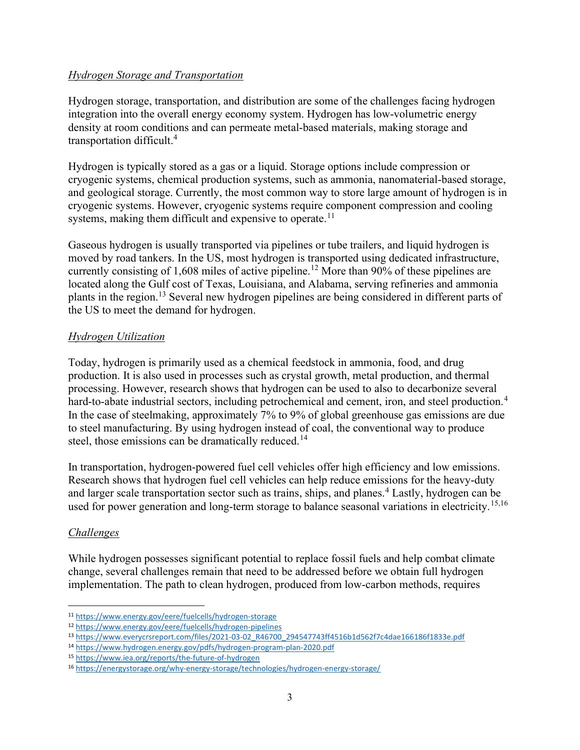#### Hydrogen Storage and Transportation

Hydrogen storage, transportation, and distribution are some of the challenges facing hydrogen integration into the overall energy economy system. Hydrogen has low-volumetric energy density at room conditions and can permeate metal-based materials, making storage and transportation difficult.<sup>4</sup>

Hydrogen is typically stored as a gas or a liquid. Storage options include compression or cryogenic systems, chemical production systems, such as ammonia, nanomaterial-based storage, and geological storage. Currently, the most common way to store large amount of hydrogen is in cryogenic systems. However, cryogenic systems require component compression and cooling systems, making them difficult and expensive to operate.<sup>11</sup>

Gaseous hydrogen is usually transported via pipelines or tube trailers, and liquid hydrogen is moved by road tankers. In the US, most hydrogen is transported using dedicated infrastructure, currently consisting of 1,608 miles of active pipeline.<sup>12</sup> More than 90% of these pipelines are located along the Gulf cost of Texas, Louisiana, and Alabama, serving refineries and ammonia plants in the region.<sup>13</sup> Several new hydrogen pipelines are being considered in different parts of the US to meet the demand for hydrogen.

## Hydrogen Utilization

Today, hydrogen is primarily used as a chemical feedstock in ammonia, food, and drug production. It is also used in processes such as crystal growth, metal production, and thermal processing. However, research shows that hydrogen can be used to also to decarbonize several hard-to-abate industrial sectors, including petrochemical and cement, iron, and steel production.<sup>4</sup> In the case of steelmaking, approximately 7% to 9% of global greenhouse gas emissions are due to steel manufacturing. By using hydrogen instead of coal, the conventional way to produce steel, those emissions can be dramatically reduced.<sup>14</sup>

In transportation, hydrogen-powered fuel cell vehicles offer high efficiency and low emissions. Research shows that hydrogen fuel cell vehicles can help reduce emissions for the heavy-duty and larger scale transportation sector such as trains, ships, and planes.<sup>4</sup> Lastly, hydrogen can be used for power generation and long-term storage to balance seasonal variations in electricity.<sup>15,16</sup>

## Challenges

While hydrogen possesses significant potential to replace fossil fuels and help combat climate change, several challenges remain that need to be addressed before we obtain full hydrogen implementation. The path to clean hydrogen, produced from low-carbon methods, requires

<sup>11</sup> https://www.energy.gov/eere/fuelcells/hydrogen-storage

<sup>12</sup> https://www.energy.gov/eere/fuelcells/hydrogen-pipelines

<sup>13</sup> https://www.everycrsreport.com/files/2021-03-02\_R46700\_294547743ff4516b1d562f7c4dae166186f1833e.pdf

<sup>14</sup> https://www.hydrogen.energy.gov/pdfs/hydrogen-program-plan-2020.pdf

<sup>15</sup> https://www.iea.org/reports/the-future-of-hydrogen

<sup>16</sup> https://energystorage.org/why-energy-storage/technologies/hydrogen-energy-storage/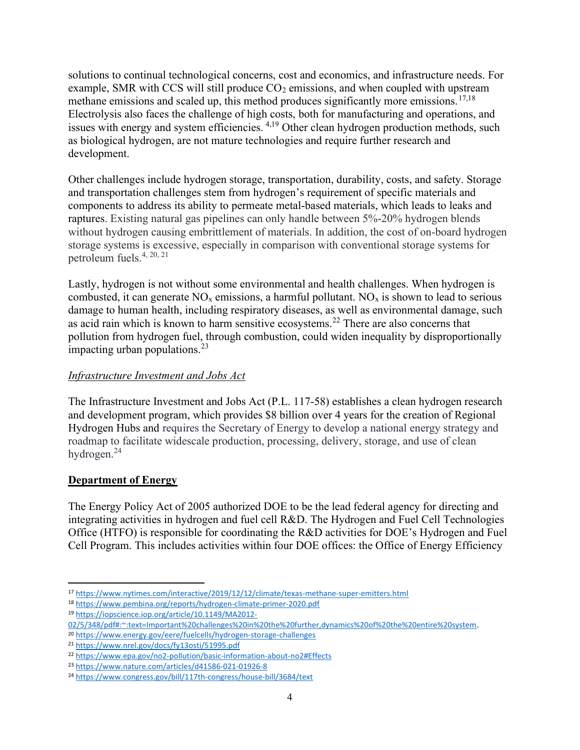solutions to continual technological concerns, cost and economics, and infrastructure needs. For example, SMR with CCS will still produce  $CO<sub>2</sub>$  emissions, and when coupled with upstream methane emissions and scaled up, this method produces significantly more emissions.<sup>17,18</sup> Electrolysis also faces the challenge of high costs, both for manufacturing and operations, and issues with energy and system efficiencies. <sup>4,19</sup> Other clean hydrogen production methods, such as biological hydrogen, are not mature technologies and require further research and development.

Other challenges include hydrogen storage, transportation, durability, costs, and safety. Storage and transportation challenges stem from hydrogen's requirement of specific materials and components to address its ability to permeate metal-based materials, which leads to leaks and raptures. Existing natural gas pipelines can only handle between 5%-20% hydrogen blends without hydrogen causing embrittlement of materials. In addition, the cost of on-board hydrogen storage systems is excessive, especially in comparison with conventional storage systems for petroleum fuels.4, 20, 21

Lastly, hydrogen is not without some environmental and health challenges. When hydrogen is combusted, it can generate  $NO<sub>x</sub>$  emissions, a harmful pollutant.  $NO<sub>x</sub>$  is shown to lead to serious damage to human health, including respiratory diseases, as well as environmental damage, such as acid rain which is known to harm sensitive ecosystems.<sup>22</sup> There are also concerns that pollution from hydrogen fuel, through combustion, could widen inequality by disproportionally impacting urban populations.<sup>23</sup>

# Infrastructure Investment and Jobs Act

The Infrastructure Investment and Jobs Act (P.L. 117-58) establishes a clean hydrogen research and development program, which provides \$8 billion over 4 years for the creation of Regional Hydrogen Hubs and requires the Secretary of Energy to develop a national energy strategy and roadmap to facilitate widescale production, processing, delivery, storage, and use of clean hydrogen.<sup>24</sup>

## Department of Energy

The Energy Policy Act of 2005 authorized DOE to be the lead federal agency for directing and integrating activities in hydrogen and fuel cell R&D. The Hydrogen and Fuel Cell Technologies Office (HTFO) is responsible for coordinating the R&D activities for DOE's Hydrogen and Fuel Cell Program. This includes activities within four DOE offices: the Office of Energy Efficiency

<sup>17</sup> https://www.nytimes.com/interactive/2019/12/12/climate/texas-methane-super-emitters.html

<sup>18</sup> https://www.pembina.org/reports/hydrogen-climate-primer-2020.pdf

<sup>19</sup> https://iopscience.iop.org/article/10.1149/MA2012-

<sup>02/5/348/</sup>pdf#:~:text=Important%20challenges%20in%20the%20further,dynamics%20of%20the%20entire%20system. <sup>20</sup> https://www.energy.gov/eere/fuelcells/hydrogen-storage-challenges

<sup>21</sup> https://www.nrel.gov/docs/fy13osti/51995.pdf

<sup>22</sup> https://www.epa.gov/no2-pollution/basic-information-about-no2#Effects

<sup>23</sup> https://www.nature.com/articles/d41586-021-01926-8

<sup>24</sup> https://www.congress.gov/bill/117th-congress/house-bill/3684/text